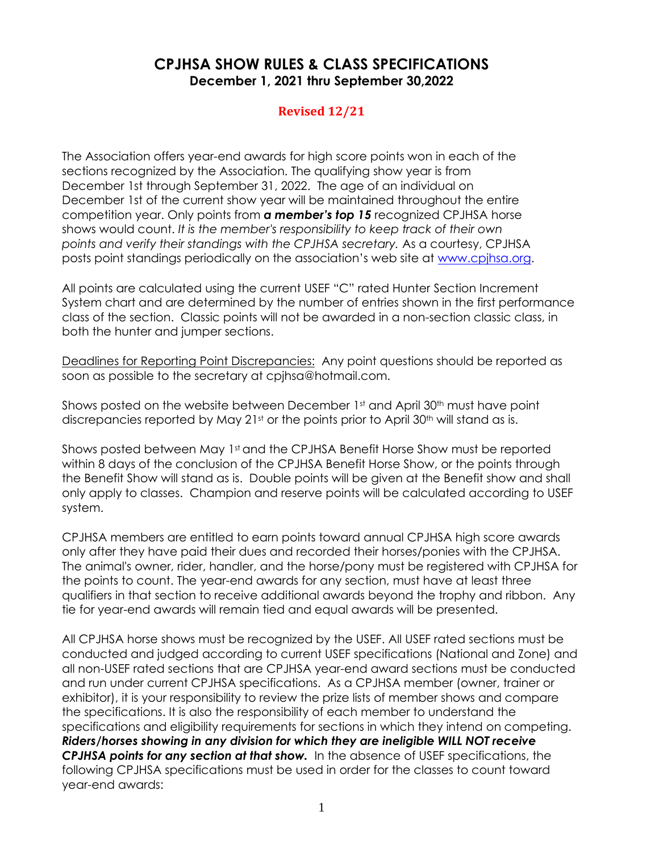## **CPJHSA SHOW RULES & CLASS SPECIFICATIONS December 1, 2021 thru September 30,2022**

## **Revised 12/21**

The Association offers year-end awards for high score points won in each of the sections recognized by the Association. The qualifying show year is from December 1st through September 31, 2022. The age of an individual on December 1st of the current show year will be maintained throughout the entire competition year. Only points from *a member's top 15* recognized CPJHSA horse shows would count. *It is the member's responsibility to keep track of their own points and verify their standings with the CPJHSA secretary.* As a courtesy, CPJHSA posts point standings periodically on the association's web site at [www.cpjhsa.org.](http://www.cpjhsa.org/)

All points are calculated using the current USEF "C" rated Hunter Section Increment System chart and are determined by the number of entries shown in the first performance class of the section. Classic points will not be awarded in a non-section classic class, in both the hunter and jumper sections.

Deadlines for Reporting Point Discrepancies: Any point questions should be reported as soon as possible to the secretary at cpjhsa@hotmail.com.

Shows posted on the website between December 1st and April 30<sup>th</sup> must have point discrepancies reported by May  $21<sup>st</sup>$  or the points prior to April 30<sup>th</sup> will stand as is.

Shows posted between May 1st and the CPJHSA Benefit Horse Show must be reported within 8 days of the conclusion of the CPJHSA Benefit Horse Show, or the points through the Benefit Show will stand as is. Double points will be given at the Benefit show and shall only apply to classes. Champion and reserve points will be calculated according to USEF system.

CPJHSA members are entitled to earn points toward annual CPJHSA high score awards only after they have paid their dues and recorded their horses/ponies with the CPJHSA. The animal's owner, rider, handler, and the horse/pony must be registered with CPJHSA for the points to count. The year-end awards for any section, must have at least three qualifiers in that section to receive additional awards beyond the trophy and ribbon. Any tie for year-end awards will remain tied and equal awards will be presented.

All CPJHSA horse shows must be recognized by the USEF. All USEF rated sections must be conducted and judged according to current USEF specifications (National and Zone) and all non-USEF rated sections that are CPJHSA year-end award sections must be conducted and run under current CPJHSA specifications. As a CPJHSA member (owner, trainer or exhibitor), it is your responsibility to review the prize lists of member shows and compare the specifications. It is also the responsibility of each member to understand the specifications and eligibility requirements for sections in which they intend on competing. *Riders/horses showing in any division for which they are ineligible WILL NOT receive CPJHSA points for any section at that show.* In the absence of USEF specifications, the following CPJHSA specifications must be used in order for the classes to count toward year-end awards: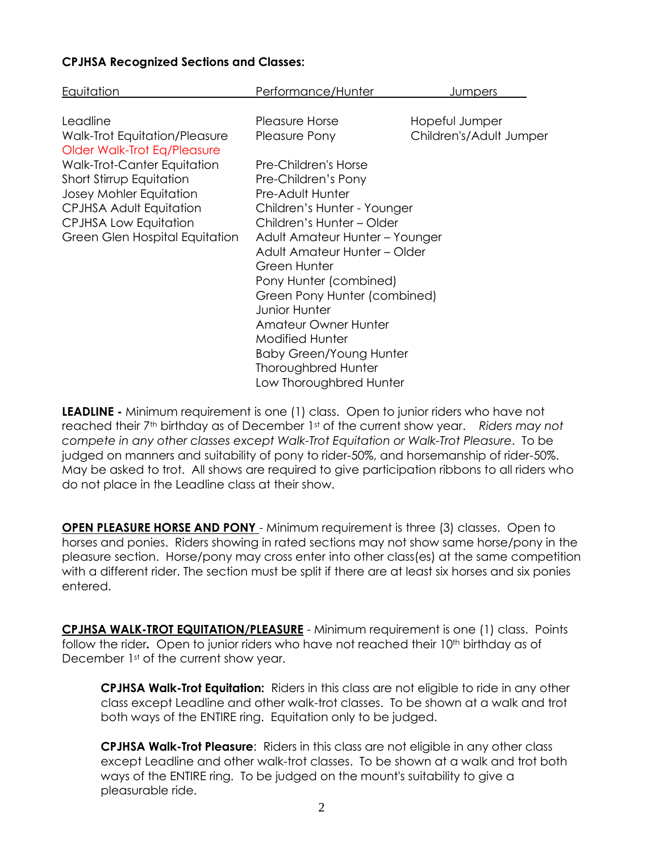## **CPJHSA Recognized Sections and Classes:**

| Equitation                      | Performance/Hunter             | Jumpers                 |
|---------------------------------|--------------------------------|-------------------------|
|                                 |                                |                         |
| Leadline                        | Pleasure Horse                 | Hopeful Jumper          |
| Walk-Trot Equitation/Pleasure   | Pleasure Pony                  | Children's/Adult Jumper |
| Older Walk-Trot Eq/Pleasure     |                                |                         |
| Walk-Trot-Canter Equitation     | Pre-Children's Horse           |                         |
| <b>Short Stirrup Equitation</b> | Pre-Children's Pony            |                         |
| Josey Mohler Equitation         | Pre-Adult Hunter               |                         |
| CPJHSA Adult Equitation         | Children's Hunter - Younger    |                         |
| <b>CPJHSA Low Equitation</b>    | Children's Hunter - Older      |                         |
| Green Glen Hospital Equitation  | Adult Amateur Hunter - Younger |                         |
|                                 | Adult Amateur Hunter – Older   |                         |
|                                 | Green Hunter                   |                         |
|                                 | Pony Hunter (combined)         |                         |
|                                 | Green Pony Hunter (combined)   |                         |
|                                 | <b>Junior Hunter</b>           |                         |
|                                 | <b>Amateur Owner Hunter</b>    |                         |
|                                 | <b>Modified Hunter</b>         |                         |
|                                 | <b>Baby Green/Young Hunter</b> |                         |
|                                 | <b>Thoroughbred Hunter</b>     |                         |
|                                 | Low Thoroughbred Hunter        |                         |

**LEADLINE -** Minimum requirement is one (1) class. Open to junior riders who have not reached their 7th birthday as of December 1st of the current show year. *Riders may not compete in any other classes except Walk-Trot Equitation or Walk-Trot Pleasure*. To be judged on manners and suitability of pony to rider-50%, and horsemanship of rider-50%. May be asked to trot. All shows are required to give participation ribbons to all riders who do not place in the Leadline class at their show.

**OPEN PLEASURE HORSE AND PONY** - Minimum requirement is three (3) classes. Open to horses and ponies. Riders showing in rated sections may not show same horse/pony in the pleasure section. Horse/pony may cross enter into other class(es) at the same competition with a different rider. The section must be split if there are at least six horses and six ponies entered.

**CPJHSA WALK-TROT EQUITATION/PLEASURE** - Minimum requirement is one (1) class. Points follow the rider. Open to junior riders who have not reached their 10<sup>th</sup> birthday as of December 1<sup>st</sup> of the current show year.

**CPJHSA Walk-Trot Equitation:** Riders in this class are not eligible to ride in any other class except Leadline and other walk-trot classes. To be shown at a walk and trot both ways of the ENTIRE ring. Equitation only to be judged.

**CPJHSA Walk-Trot Pleasure**: Riders in this class are not eligible in any other class except Leadline and other walk-trot classes. To be shown at a walk and trot both ways of the ENTIRE ring. To be judged on the mount's suitability to give a pleasurable ride.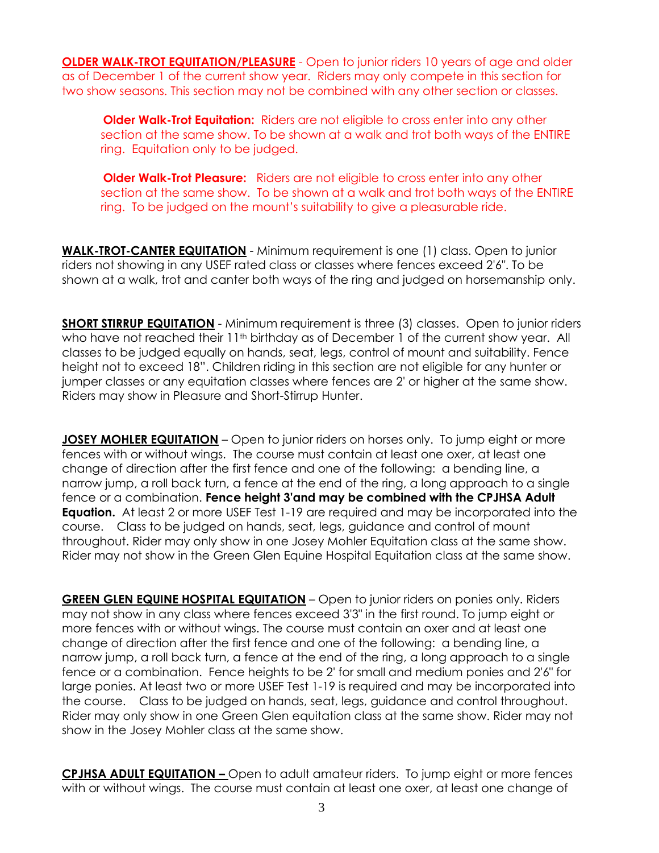**OLDER WALK-TROT EQUITATION/PLEASURE** - Open to junior riders 10 years of age and older as of December 1 of the current show year. Riders may only compete in this section for two show seasons. This section may not be combined with any other section or classes.

**Older Walk-Trot Equitation:** Riders are not eligible to cross enter into any other section at the same show. To be shown at a walk and trot both ways of the ENTIRE ring. Equitation only to be judged.

**Older Walk-Trot Pleasure:** Riders are not eligible to cross enter into any other section at the same show. To be shown at a walk and trot both ways of the ENTIRE ring. To be judged on the mount's suitability to give a pleasurable ride.

**WALK-TROT-CANTER EQUITATION** - Minimum requirement is one (1) class. Open to junior riders not showing in any USEF rated class or classes where fences exceed 2'6". To be shown at a walk, trot and canter both ways of the ring and judged on horsemanship only.

**SHORT STIRRUP EQUITATION** - Minimum requirement is three (3) classes. Open to junior riders who have not reached their 11<sup>th</sup> birthday as of December 1 of the current show year. All classes to be judged equally on hands, seat, legs, control of mount and suitability. Fence height not to exceed 18". Children riding in this section are not eligible for any hunter or jumper classes or any equitation classes where fences are 2' or higher at the same show. Riders may show in Pleasure and Short-Stirrup Hunter.

**JOSEY MOHLER EQUITATION** – Open to junior riders on horses only. To jump eight or more fences with or without wings. The course must contain at least one oxer, at least one change of direction after the first fence and one of the following: a bending line, a narrow jump, a roll back turn, a fence at the end of the ring, a long approach to a single fence or a combination. **Fence height 3'and may be combined with the CPJHSA Adult Equation.** At least 2 or more USEF Test 1-19 are required and may be incorporated into the course. Class to be judged on hands, seat, legs, guidance and control of mount throughout. Rider may only show in one Josey Mohler Equitation class at the same show. Rider may not show in the Green Glen Equine Hospital Equitation class at the same show.

**GREEN GLEN EQUINE HOSPITAL EQUITATION** – Open to junior riders on ponies only. Riders may not show in any class where fences exceed 3'3" in the first round. To jump eight or more fences with or without wings. The course must contain an oxer and at least one change of direction after the first fence and one of the following: a bending line, a narrow jump, a roll back turn, a fence at the end of the ring, a long approach to a single fence or a combination. Fence heights to be 2' for small and medium ponies and 2'6" for large ponies. At least two or more USEF Test 1-19 is required and may be incorporated into the course. Class to be judged on hands, seat, legs, guidance and control throughout. Rider may only show in one Green Glen equitation class at the same show. Rider may not show in the Josey Mohler class at the same show.

**CPJHSA ADULT EQUITATION –** Open to adult amateur riders. To jump eight or more fences with or without wings. The course must contain at least one oxer, at least one change of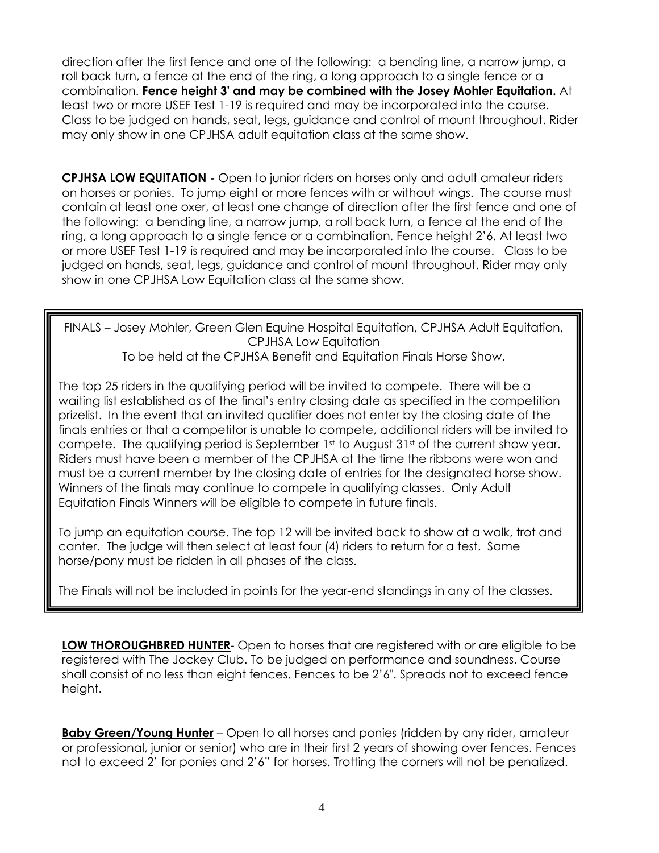direction after the first fence and one of the following: a bending line, a narrow jump, a roll back turn, a fence at the end of the ring, a long approach to a single fence or a combination. **Fence height 3' and may be combined with the Josey Mohler Equitation.** At least two or more USEF Test 1-19 is required and may be incorporated into the course. Class to be judged on hands, seat, legs, guidance and control of mount throughout. Rider may only show in one CPJHSA adult equitation class at the same show.

**CPJHSA LOW EQUITATION -** Open to junior riders on horses only and adult amateur riders on horses or ponies. To jump eight or more fences with or without wings. The course must contain at least one oxer, at least one change of direction after the first fence and one of the following: a bending line, a narrow jump, a roll back turn, a fence at the end of the ring, a long approach to a single fence or a combination. Fence height 2'6. At least two or more USEF Test 1-19 is required and may be incorporated into the course. Class to be judged on hands, seat, legs, guidance and control of mount throughout. Rider may only show in one CPJHSA Low Equitation class at the same show.

FINALS – Josey Mohler, Green Glen Equine Hospital Equitation, CPJHSA Adult Equitation, CPJHSA Low Equitation To be held at the CPJHSA Benefit and Equitation Finals Horse Show.

finals entries or that a competitor is unable to compete, additional riders will be invited to compete. The qualifying period is September 1st to August 31st of the current show year. Riders must have been a member of the CPJHSA at the time the ribbons were won and must be a current member by the closing date of entries for the designated horse show.  $\| \cdot \|$ Winners of the finals may continue to compete in qualifying classes. Only Adult Equitation Finals Winners will be eligible to compete in future finals. The top 25 riders in the qualifying period will be invited to compete. There will be a waiting list established as of the final's entry closing date as specified in the competition prizelist. In the event that an invited qualifier does not enter by the closing date of the

To jump an equitation course. The top 12 will be invited back to show at a walk, trot and canter. The judge will then select at least four (4) riders to return for a test. Same horse/pony must be ridden in all phases of the class. The course may not contain any oxers any oxers any oxers any oxers and trotting in corresponding in  $\mathcal{A}$ 

The Finals will not be included in points for the year-end standings in any of the classes.  $\|\hspace{-.06in}\|$ there are at least 3 in each section and at least 3 in each section.

**LOW THOROUGHBRED HUNTER**- Open to horses that are registered with or are eligible to be registered with The Jockey Club. To be judged on performance and soundness. Course shall consist of no less than eight fences. Fences to be 2'6". Spreads not to exceed fence height.

**Baby Green/Young Hunter** – Open to all horses and ponies (ridden by any rider, amateur or professional, junior or senior) who are in their first 2 years of showing over fences. Fences not to exceed 2' for ponies and 2'6" for horses. Trotting the corners will not be penalized.